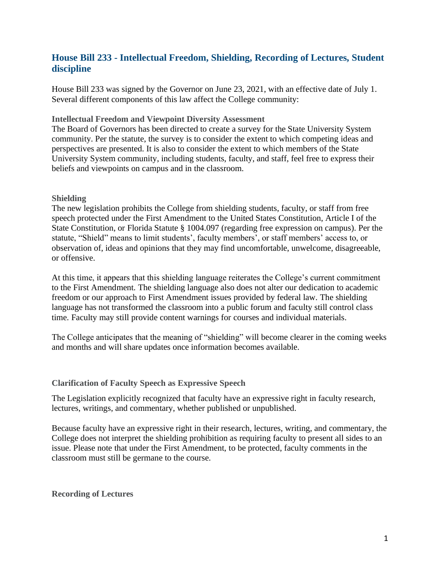# **House Bill 233 - Intellectual Freedom, Shielding, Recording of Lectures, Student discipline**

House Bill 233 was signed by the Governor on June 23, 2021, with an effective date of July 1. Several different components of this law affect the College community:

#### **Intellectual Freedom and Viewpoint Diversity Assessment**

The Board of Governors has been directed to create a survey for the State University System community. Per the statute, the survey is to consider the extent to which competing ideas and perspectives are presented. It is also to consider the extent to which members of the State University System community, including students, faculty, and staff, feel free to express their beliefs and viewpoints on campus and in the classroom.

#### **Shielding**

The new legislation prohibits the College from shielding students, faculty, or staff from free speech protected under the First Amendment to the United States Constitution, Article I of the State Constitution, or Florida Statute § 1004.097 (regarding free expression on campus). Per the statute, "Shield" means to limit students', faculty members', or staff members' access to, or observation of, ideas and opinions that they may find uncomfortable, unwelcome, disagreeable, or offensive.

At this time, it appears that this shielding language reiterates the College's current commitment to the First Amendment. The shielding language also does not alter our dedication to academic freedom or our approach to First Amendment issues provided by federal law. The shielding language has not transformed the classroom into a public forum and faculty still control class time. Faculty may still provide content warnings for courses and individual materials.

The College anticipates that the meaning of "shielding" will become clearer in the coming weeks and months and will share updates once information becomes available.

#### **Clarification of Faculty Speech as Expressive Speech**

The Legislation explicitly recognized that faculty have an expressive right in faculty research, lectures, writings, and commentary, whether published or unpublished.

Because faculty have an expressive right in their research, lectures, writing, and commentary, the College does not interpret the shielding prohibition as requiring faculty to present all sides to an issue. Please note that under the First Amendment, to be protected, faculty comments in the classroom must still be germane to the course.

#### **Recording of Lectures**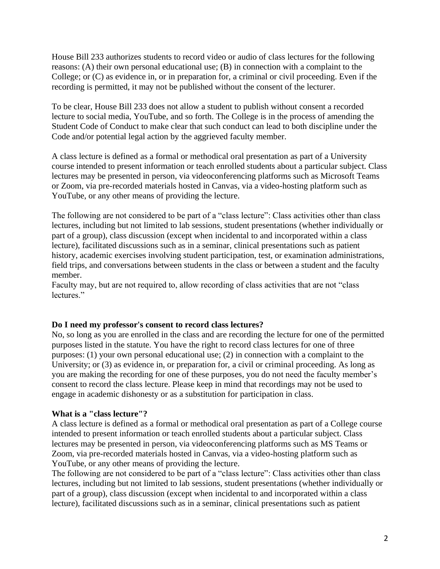House Bill 233 authorizes students to record video or audio of class lectures for the following reasons: (A) their own personal educational use; (B) in connection with a complaint to the College; or (C) as evidence in, or in preparation for, a criminal or civil proceeding. Even if the recording is permitted, it may not be published without the consent of the lecturer.

To be clear, House Bill 233 does not allow a student to publish without consent a recorded lecture to social media, YouTube, and so forth. The College is in the process of amending the Student Code of Conduct to make clear that such conduct can lead to both discipline under the Code and/or potential legal action by the aggrieved faculty member.

A class lecture is defined as a formal or methodical oral presentation as part of a University course intended to present information or teach enrolled students about a particular subject. Class lectures may be presented in person, via videoconferencing platforms such as Microsoft Teams or Zoom, via pre-recorded materials hosted in Canvas, via a video-hosting platform such as YouTube, or any other means of providing the lecture.

The following are not considered to be part of a "class lecture": Class activities other than class lectures, including but not limited to lab sessions, student presentations (whether individually or part of a group), class discussion (except when incidental to and incorporated within a class lecture), facilitated discussions such as in a seminar, clinical presentations such as patient history, academic exercises involving student participation, test, or examination administrations, field trips, and conversations between students in the class or between a student and the faculty member.

Faculty may, but are not required to, allow recording of class activities that are not "class lectures."

#### **Do I need my professor's consent to record class lectures?**

No, so long as you are enrolled in the class and are recording the lecture for one of the permitted purposes listed in the statute. You have the right to record class lectures for one of three purposes: (1) your own personal educational use; (2) in connection with a complaint to the University; or (3) as evidence in, or preparation for, a civil or criminal proceeding. As long as you are making the recording for one of these purposes, you do not need the faculty member's consent to record the class lecture. Please keep in mind that recordings may not be used to engage in academic dishonesty or as a substitution for participation in class.

### **What is a "class lecture"?**

A class lecture is defined as a formal or methodical oral presentation as part of a College course intended to present information or teach enrolled students about a particular subject. Class lectures may be presented in person, via videoconferencing platforms such as MS Teams or Zoom, via pre-recorded materials hosted in Canvas, via a video-hosting platform such as YouTube, or any other means of providing the lecture.

The following are not considered to be part of a "class lecture": Class activities other than class lectures, including but not limited to lab sessions, student presentations (whether individually or part of a group), class discussion (except when incidental to and incorporated within a class lecture), facilitated discussions such as in a seminar, clinical presentations such as patient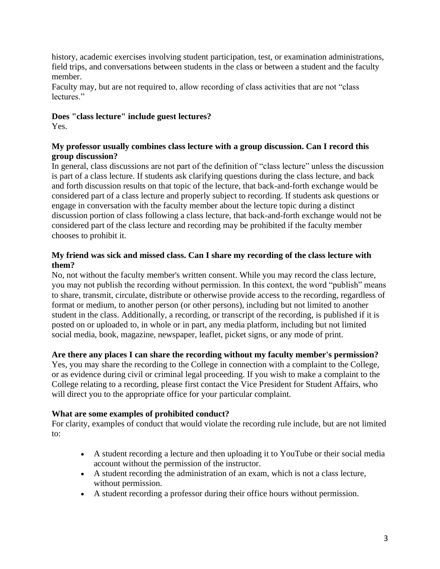history, academic exercises involving student participation, test, or examination administrations, field trips, and conversations between students in the class or between a student and the faculty member.

Faculty may, but are not required to, allow recording of class activities that are not "class lectures."

## **Does "class lecture" include guest lectures?**

Yes.

### **My professor usually combines class lecture with a group discussion. Can I record this group discussion?**

In general, class discussions are not part of the definition of "class lecture" unless the discussion is part of a class lecture. If students ask clarifying questions during the class lecture, and back and forth discussion results on that topic of the lecture, that back-and-forth exchange would be considered part of a class lecture and properly subject to recording. If students ask questions or engage in conversation with the faculty member about the lecture topic during a distinct discussion portion of class following a class lecture, that back-and-forth exchange would not be considered part of the class lecture and recording may be prohibited if the faculty member chooses to prohibit it.

### **My friend was sick and missed class. Can I share my recording of the class lecture with them?**

No, not without the faculty member's written consent. While you may record the class lecture, you may not publish the recording without permission. In this context, the word "publish" means to share, transmit, circulate, distribute or otherwise provide access to the recording, regardless of format or medium, to another person (or other persons), including but not limited to another student in the class. Additionally, a recording, or transcript of the recording, is published if it is posted on or uploaded to, in whole or in part, any media platform, including but not limited social media, book, magazine, newspaper, leaflet, picket signs, or any mode of print.

## **Are there any places I can share the recording without my faculty member's permission?**

Yes, you may share the recording to the College in connection with a complaint to the College, or as evidence during civil or criminal legal proceeding. If you wish to make a complaint to the College relating to a recording, please first contact the Vice President for Student Affairs, who will direct you to the appropriate office for your particular complaint.

### **What are some examples of prohibited conduct?**

For clarity, examples of conduct that would violate the recording rule include, but are not limited to:

- A student recording a lecture and then uploading it to YouTube or their social media account without the permission of the instructor.
- A student recording the administration of an exam, which is not a class lecture, without permission.
- A student recording a professor during their office hours without permission.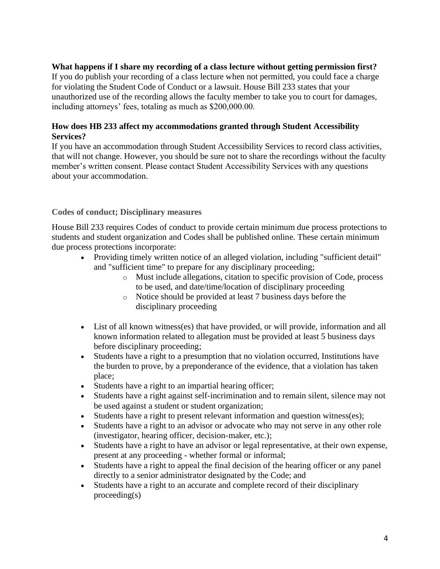### **What happens if I share my recording of a class lecture without getting permission first?**

If you do publish your recording of a class lecture when not permitted, you could face a charge for violating the Student Code of Conduct or a lawsuit. House Bill 233 states that your unauthorized use of the recording allows the faculty member to take you to court for damages, including attorneys' fees, totaling as much as \$200,000.00.

#### **How does HB 233 affect my accommodations granted through Student Accessibility Services?**

If you have an accommodation through Student Accessibility Services to record class activities, that will not change. However, you should be sure not to share the recordings without the faculty member's written consent. Please contact Student Accessibility Services with any questions about your accommodation.

### **Codes of conduct; Disciplinary measures**

House Bill 233 requires Codes of conduct to provide certain minimum due process protections to students and student organization and Codes shall be published online. These certain minimum due process protections incorporate:

- Providing timely written notice of an alleged violation, including "sufficient detail" and "sufficient time" to prepare for any disciplinary proceeding;
	- o Must include allegations, citation to specific provision of Code, process to be used, and date/time/location of disciplinary proceeding
	- o Notice should be provided at least 7 business days before the disciplinary proceeding
- List of all known witness(es) that have provided, or will provide, information and all known information related to allegation must be provided at least 5 business days before disciplinary proceeding;
- Students have a right to a presumption that no violation occurred, Institutions have the burden to prove, by a preponderance of the evidence, that a violation has taken place;
- Students have a right to an impartial hearing officer;
- Students have a right against self-incrimination and to remain silent, silence may not be used against a student or student organization;
- Students have a right to present relevant information and question witness(es);
- Students have a right to an advisor or advocate who may not serve in any other role (investigator, hearing officer, decision-maker, etc.);
- Students have a right to have an advisor or legal representative, at their own expense, present at any proceeding - whether formal or informal;
- Students have a right to appeal the final decision of the hearing officer or any panel directly to a senior administrator designated by the Code; and
- Students have a right to an accurate and complete record of their disciplinary proceeding(s)